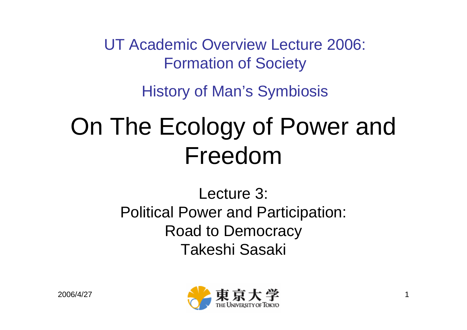UT Academic Overview Lecture 2006: Formation of Society

History of Man's Symbiosis

# On The Ecology of Power and Freedom

#### Lecture 3: Political Power and Participation: Road to Democracy Takeshi Sasaki

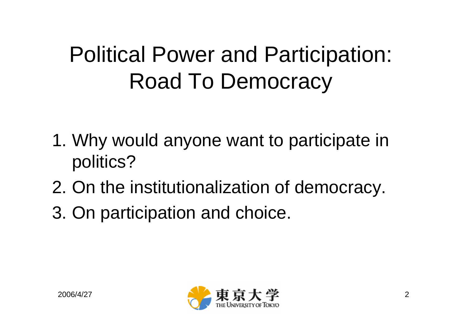### Political Power and Participation: Road To Democracy

- 1. Why would anyone want to participate in politics?
- 2. On the institutionalization of democracy.
- 3. On participation and choice.

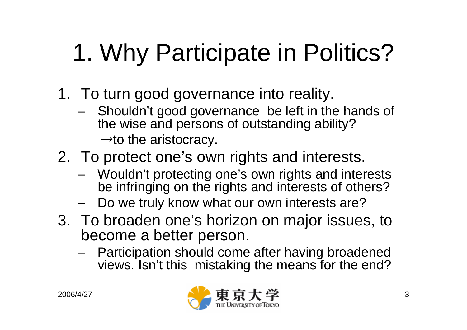# 1. Why Participate in Politics?

- 1. To turn good governance into reality.
	- **Links of the Company**  Shouldn't good governance be left in the hands of the wise and persons of outstanding ability?

 $\rightarrow$  to the aristocracy.

- 2. To protect one's own rights and interests.
	- and the state of the Wouldn't protecting one's own rights and interests be infringing on the rights and interests of others?
	- and the state of the Do we truly know what our own interests are?
- 3. To broaden one's horizon on major issues, to become a better person.
	- – Participation should come after having broadened views. Isn't this mistaking the means for the end?

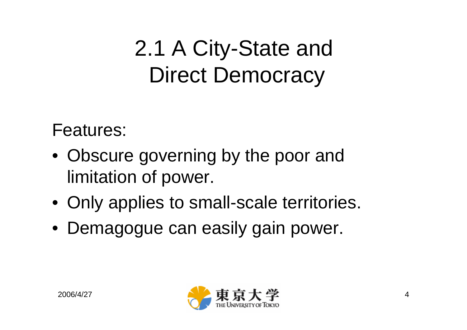#### 2.1 A City-State and Direct Democracy

Features:

- Obscure governing by the poor and limitation of power.
- Only applies to small-scale territories.
- Demagogue can easily gain power.

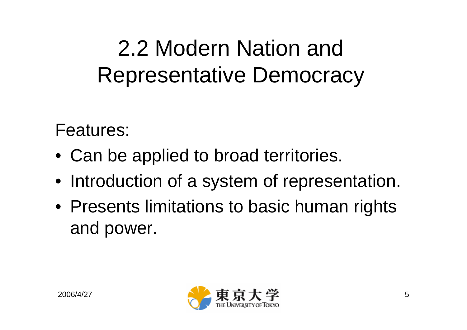## 2.2 Modern Nation and Representative Democracy

Features:

- Can be applied to broad territories.
- Introduction of a system of representation.
- Presents limitations to basic human rights and power.

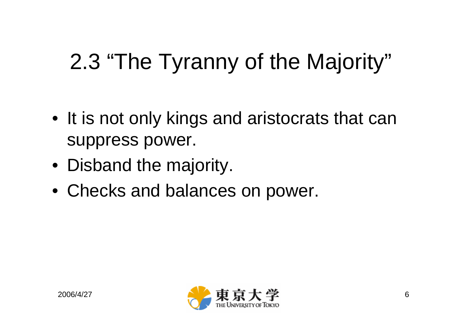# 2.3 "The Tyranny of the Majority"

- It is not only kings and aristocrats that can suppress power.
- Disband the majority.
- Checks and balances on power.

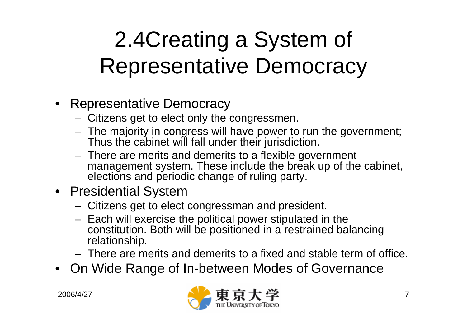## 2.4Creating <sup>a</sup> System of Representative Democracy

- Representative Democracy
	- –Citizens get to elect only the congressmen.
	- – The majority in congress will have power to run the government; Thus the cabinet will fall under their jurisdiction.
	- – There are merits and demerits to a flexible government management system. These include the break up of the cabinet, elections and periodic change of ruling party.
- Presidential System
	- –Citizens get to elect congressman and president.
	- – Each will exercise the political power stipulated in the constitution. Both will be positioned in a restrained balancing relationship.
	- There are merits and demerits to a fixed and stable term of office.
- On Wide Range of In-between Modes of Governance

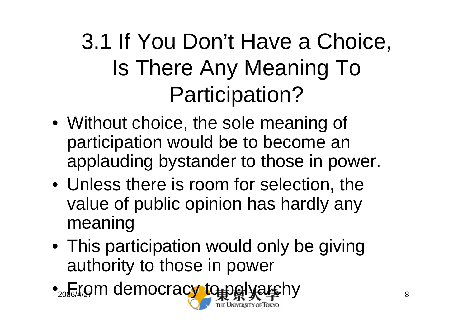## 3.1 If You Don't Have a Choice, Is There Any Meaning To Participation?

- Without choice, the sole meaning of participation would be to become an applauding bystander to those in power.
- Unless there is room for selection, the value of public opinion has hardly any meaning
- This participation would only be giving authority to those in power
- $2006/4/27$   $\blacksquare$   $\blacksquare$   $\blacksquare$   $\blacksquare$   $\blacksquare$   $\blacksquare$   $\blacksquare$   $\blacksquare$   $\blacksquare$   $\blacksquare$   $\blacksquare$   $\blacksquare$   $\blacksquare$   $\blacksquare$   $\blacksquare$   $\blacksquare$   $\blacksquare$   $\blacksquare$   $\blacksquare$   $\blacksquare$   $\blacksquare$   $\blacksquare$   $\blacksquare$   $\blacksquare$   $\blacksquare$   $\blacksquare$   $\blacksquare$   $\blacksquare$   $\blacksquare$   $\blacksquare$ •<sub>2006/</sub>rom democracy to polyarchy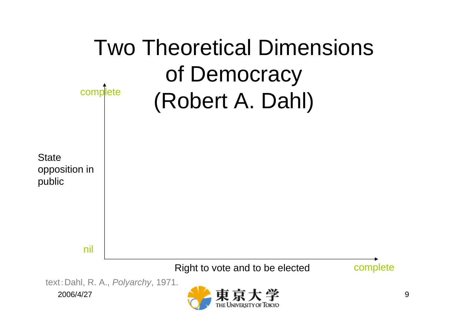

2006/4/27

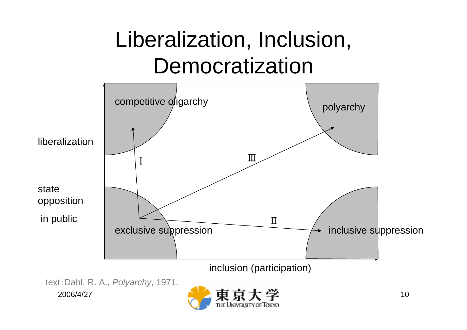#### Liberalization, Inclusion, Democratization



2006/4/27text:Dahl, R. A., *Polyarchy*, 1971.

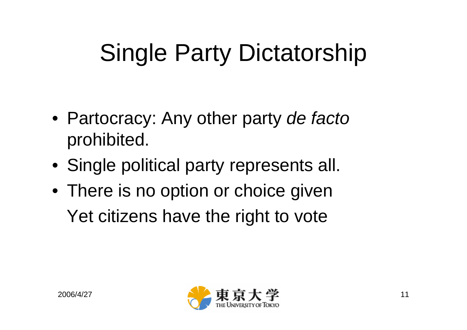# Single Party Dictatorship

- Partocracy: Any other party *de facto* prohibited.
- Single political party represents all.
- There is no option or choice given Yet citizens have the right to vote

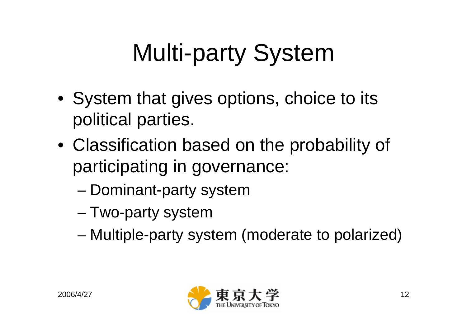# Multi-party System

- System that gives options, choice to its political parties.
- Classification based on the probability of participating in governance:
	- –Dominant-party system
	- and the state of the state Two-party system
	- and the state of the state Multiple-party system (moderate to polarized)

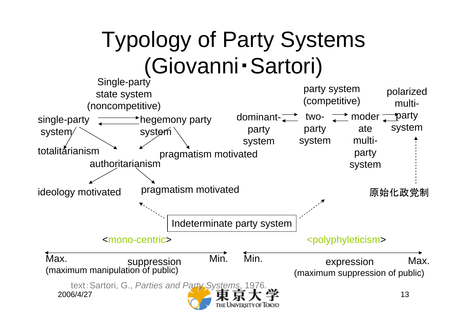#### Typology of Party Systems (Giovanni・Sartori)